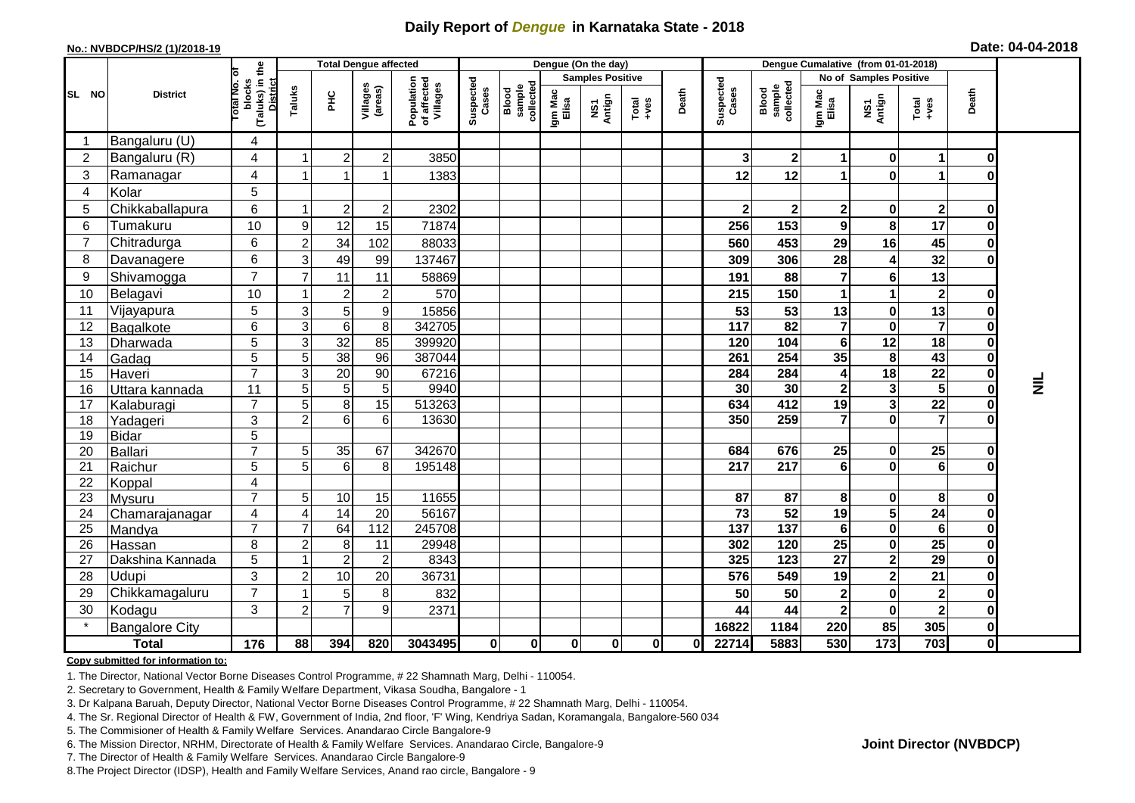## **Daily Report of** *Dengue* **in Karnataka State - 2018**

#### **No.: NVBDCP/HS/2 (1)/2018-19**

|  |  | Date: 04-04-2018 |
|--|--|------------------|
|--|--|------------------|

|                |                            |                                                              |                                  | <b>Total Dengue affected</b> |                       |                                       |                    |                              |                  | Dengue (On the day)     |                                                              |          |                         |                              | Dengue Cumalative (from 01-01-2018) |                              |                      |                                      |       |
|----------------|----------------------------|--------------------------------------------------------------|----------------------------------|------------------------------|-----------------------|---------------------------------------|--------------------|------------------------------|------------------|-------------------------|--------------------------------------------------------------|----------|-------------------------|------------------------------|-------------------------------------|------------------------------|----------------------|--------------------------------------|-------|
|                |                            |                                                              |                                  |                              |                       |                                       |                    |                              |                  | <b>Samples Positive</b> |                                                              |          |                         | Blood<br>sample<br>collected | No of Samples Positive              |                              |                      |                                      |       |
| SL NO          | <b>District</b>            | (Taluks) in the<br>Total No. of<br>blocks<br><b>District</b> | Taluks                           | <b>PHC</b>                   | Villages<br>(areas)   | Population<br>of affected<br>Villages | Suspected<br>Cases | collected<br>sample<br>Blood | Igm Mac<br>Elisa | Antign<br>ŠΣ            | $\begin{array}{c}\n\text{Total} \\ \text{+ves}\n\end{array}$ | Death    | Suspected<br>Cases      |                              | Igm Mac<br>Elisa                    | NS1<br>Antign                | Total<br>+ves        | Death                                |       |
| -1             | Bangaluru (U)              | 4                                                            |                                  |                              |                       |                                       |                    |                              |                  |                         |                                                              |          |                         |                              |                                     |                              |                      |                                      |       |
| $\overline{2}$ | Bangaluru (R)              | 4                                                            | -1                               | $\overline{2}$               | $\boldsymbol{2}$      | 3850                                  |                    |                              |                  |                         |                                                              |          | 3                       | $\mathbf{2}$                 | $\mathbf 1$                         | $\mathbf{0}$                 | 1                    | 0                                    |       |
| 3              | Ramanagar                  | 4                                                            | 1                                |                              |                       | 1383                                  |                    |                              |                  |                         |                                                              |          | 12                      | 12                           | 1                                   | $\mathbf{0}$                 | 1                    | O                                    |       |
| 4              | Kolar                      | 5                                                            |                                  |                              |                       |                                       |                    |                              |                  |                         |                                                              |          |                         |                              |                                     |                              |                      |                                      |       |
| 5              | Chikkaballapura            | 6                                                            |                                  | $\overline{c}$               | $\boldsymbol{2}$      | 2302                                  |                    |                              |                  |                         |                                                              |          | 2                       | $\mathbf{2}$                 | $\mathbf{2}$                        | 0                            | $\boldsymbol{2}$     | 0                                    |       |
| 6              | Tumakuru                   | 10                                                           | 9                                | 12                           | 15                    | 71874                                 |                    |                              |                  |                         |                                                              |          | 256                     | 153                          | 9                                   | 8                            | 17                   | $\bf{0}$                             |       |
| $\overline{7}$ | Chitradurga                | 6                                                            | $\overline{2}$                   | 34                           | 102                   | 88033                                 |                    |                              |                  |                         |                                                              |          | 560                     | 453                          | 29                                  | 16                           | 45                   | $\mathbf 0$                          |       |
| 8              | Davanagere                 | 6                                                            | 3                                | 49                           | 99                    | 137467                                |                    |                              |                  |                         |                                                              |          | 309                     | 306                          | 28                                  | 4                            | 32                   | $\mathbf 0$                          |       |
| 9              | Shivamogga                 | $\overline{7}$                                               |                                  | 11                           | 11                    | 58869                                 |                    |                              |                  |                         |                                                              |          | 191                     | 88                           | $\overline{7}$                      | 6                            | 13                   |                                      |       |
| 10             | Belagavi                   | 10                                                           | -1                               | $\overline{2}$               | $\overline{2}$        | 570                                   |                    |                              |                  |                         |                                                              |          | 215                     | 150                          | 1                                   |                              | $\mathbf{2}$         | 0                                    |       |
| 11             | Vijayapura                 | 5                                                            | 3                                | 5                            | $\boldsymbol{9}$      | 15856                                 |                    |                              |                  |                         |                                                              |          | 53                      | 53                           | 13                                  | $\mathbf{0}$                 | 13                   | $\mathbf 0$                          |       |
| 12             | Bagalkote                  | 6                                                            | 3                                | 6                            | 8                     | 342705                                |                    |                              |                  |                         |                                                              |          | $\frac{1}{117}$         | $\overline{82}$              | $\overline{7}$                      | $\mathbf{0}$                 | $\overline{7}$       | $\overline{\mathbf{0}}$              |       |
| 13             | Dharwada                   | 5                                                            | 3                                | 32                           | 85                    | 399920                                |                    |                              |                  |                         |                                                              |          | 120                     | 104                          | $6\phantom{1}$                      | 12                           | 18                   | 0                                    |       |
| 14             | Gadag                      | 5                                                            | 5                                | 38                           | 96                    | 387044                                |                    |                              |                  |                         |                                                              |          | 261                     | 254                          | 35                                  | 8                            | 43                   | 0                                    |       |
| 15             | Haveri                     | $\overline{7}$                                               | 3                                | 20                           | 90                    | 67216                                 |                    |                              |                  |                         |                                                              |          | 284                     | 284                          | 4                                   | 18                           | 22                   | $\pmb{0}$                            |       |
| 16             | Uttara kannada             | 11                                                           | 5                                | $5\phantom{.0}$              | 5 <sup>1</sup>        | 9940                                  |                    |                              |                  |                         |                                                              |          | 30                      | 30                           | $\mathbf 2$                         | 3                            | $\overline{5}$       | $\overline{\mathbf{0}}$              | 를<br> |
| 17             | Kalaburagi                 | $\overline{7}$                                               | 5                                | 8                            | 15                    | 513263                                |                    |                              |                  |                         |                                                              |          | 634                     | 412                          | 19                                  | 3                            | 22                   | $\pmb{0}$                            |       |
| 18             | Yadageri                   | 3                                                            | $\overline{2}$                   | 6                            | $6\phantom{1}$        | 13630                                 |                    |                              |                  |                         |                                                              |          | 350                     | 259                          | $\overline{7}$                      | $\mathbf{0}$                 | $\overline{7}$       | $\bf{0}$                             |       |
| 19             | <b>Bidar</b>               | 5                                                            |                                  |                              |                       |                                       |                    |                              |                  |                         |                                                              |          |                         |                              |                                     |                              |                      |                                      |       |
| 20             | Ballari                    | $\overline{7}$                                               | 5                                | 35                           | 67                    | 342670                                |                    |                              |                  |                         |                                                              |          | 684                     | 676                          | 25                                  | $\mathbf{0}$                 | 25                   | 0                                    |       |
| 21             | Raichur                    | 5                                                            | 5                                | 6                            | 8                     | 195148                                |                    |                              |                  |                         |                                                              |          | $\overline{217}$        | 217                          | 6                                   | $\mathbf{0}$                 | $6\phantom{1}$       | $\mathbf 0$                          |       |
| 22             | Koppal                     | 4                                                            |                                  |                              |                       |                                       |                    |                              |                  |                         |                                                              |          |                         |                              |                                     |                              |                      |                                      |       |
| 23             | <b>Mysuru</b>              | $\overline{7}$                                               | 5 <sup>5</sup>                   | $10$                         | 15                    | 11655                                 |                    |                              |                  |                         |                                                              |          | 87                      | 87                           | 8                                   | $\mathbf{0}$                 | 8                    | $\pmb{0}$                            |       |
| 24             | Chamarajanagar             | 4<br>$\overline{7}$                                          | $\boldsymbol{\Delta}$            | $\overline{14}$              | $\overline{20}$       | 56167                                 |                    |                              |                  |                         |                                                              |          | $\overline{73}$         | 52<br>$\overline{137}$       | 19                                  | $\overline{5}$               | 24                   | $\overline{\mathbf{0}}$              |       |
| 25<br>26       | Mandya                     | 8                                                            | $\overline{7}$<br>$\overline{a}$ | 64                           | $\frac{1}{112}$<br>11 | 245708<br>29948                       |                    |                              |                  |                         |                                                              |          | $\overline{137}$<br>302 | 120                          | $6\phantom{1}$<br>25                | $\mathbf{0}$<br>$\mathbf{0}$ | 6<br>$\overline{25}$ | $\pmb{0}$<br>$\overline{\mathbf{0}}$ |       |
| 27             | Hassan<br>Dakshina Kannada | 5                                                            |                                  | 8<br>$\overline{2}$          | $\overline{2}$        | 8343                                  |                    |                              |                  |                         |                                                              |          | 325                     | $\overline{123}$             | $\overline{27}$                     | $\overline{2}$               | 29                   | $\overline{\mathbf{0}}$              |       |
| 28             | Udupi                      | 3                                                            | $\overline{2}$                   | 10                           | 20                    | 36731                                 |                    |                              |                  |                         |                                                              |          | 576                     | 549                          | 19                                  | 2                            | 21                   | $\pmb{0}$                            |       |
| 29             | Chikkamagaluru             | $\overline{7}$                                               |                                  | 5 <sup>1</sup>               | 8                     | 832                                   |                    |                              |                  |                         |                                                              |          | 50                      | 50                           | $\mathbf{2}$                        | $\mathbf{0}$                 | $\mathbf 2$          | $\mathbf 0$                          |       |
| 30             | Kodagu                     | 3                                                            | $\overline{2}$                   | $\overline{7}$               | $\boldsymbol{9}$      | 2371                                  |                    |                              |                  |                         |                                                              |          | 44                      | 44                           | $\mathbf{2}$                        | $\mathbf{0}$                 | $\mathbf{2}$         | $\pmb{0}$                            |       |
|                | <b>Bangalore City</b>      |                                                              |                                  |                              |                       |                                       |                    |                              |                  |                         |                                                              |          | 16822                   | 1184                         | 220                                 | 85                           | 305                  | $\pmb{0}$                            |       |
|                | <b>Total</b>               | 176                                                          | 88                               | 394                          | 820                   | 3043495                               | $\mathbf 0$        | $\mathbf 0$                  | $\mathbf{0}$     | 0                       | $\mathbf 0$                                                  | $\bf{0}$ | 22714                   | 5883                         | 530                                 | 173                          | 703                  | $\overline{\mathbf{0}}$              |       |
|                |                            |                                                              |                                  |                              |                       |                                       |                    |                              |                  |                         |                                                              |          |                         |                              |                                     |                              |                      |                                      |       |

#### **Copy submitted for information to:**

1. The Director, National Vector Borne Diseases Control Programme, # 22 Shamnath Marg, Delhi - 110054.

2. Secretary to Government, Health & Family Welfare Department, Vikasa Soudha, Bangalore - 1

3. Dr Kalpana Baruah, Deputy Director, National Vector Borne Diseases Control Programme, # 22 Shamnath Marg, Delhi - 110054.

4. The Sr. Regional Director of Health & FW, Government of India, 2nd floor, 'F' Wing, Kendriya Sadan, Koramangala, Bangalore-560 034

5. The Commisioner of Health & Family Welfare Services. Anandarao Circle Bangalore-9

6. The Mission Director, NRHM, Directorate of Health & Family Welfare Services. Anandarao Circle, Bangalore-9

7. The Director of Health & Family Welfare Services. Anandarao Circle Bangalore-9

8.The Project Director (IDSP), Health and Family Welfare Services, Anand rao circle, Bangalore - 9